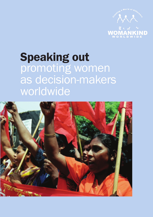

**WOMANKIND** 

# **Speaking out** promoting women as decision-makers worldwide

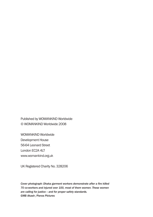Published by WOMANKIND Worldwide © WOMANKIND Worldwide 2008

WOMANKIND Worldwide Development House 56-64 Leonard Street London EC2A 4LT www.womankind.org.uk

UK Registered Charity No. 328206

*Cover photograph: Dhaka garment workers demonstrate after a fire killed 70 co-workers and injured over 100, most of them women. These women are calling for justice -- and for proper safety standards. GMB Akash /Panos Pictures*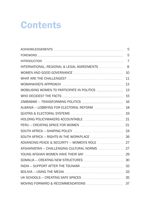## **Contents**

|                                                                                                                                                                                                                                      | 5  |
|--------------------------------------------------------------------------------------------------------------------------------------------------------------------------------------------------------------------------------------|----|
|                                                                                                                                                                                                                                      | 5  |
|                                                                                                                                                                                                                                      |    |
|                                                                                                                                                                                                                                      |    |
| WOMEN AND GOOD GOVERNANCE <b>And Accountant Contract Contract Contract Contract Contract Contract Contract Contract Contract Contract Contract Contract Contract Contract Contract Contract Contract Contract Contract Contract </b> | 10 |
|                                                                                                                                                                                                                                      | 11 |
| WOMANKIND'S APPROACH                                                                                                                                                                                                                 | 13 |
| MOBILISING WOMEN TO PARTICIPATE IN POLITICS <b>EXAMPLE 123</b> 13                                                                                                                                                                    |    |
| WHO DECIDES? THE FACTS <b>CONSUMING THE SECTION</b> 15                                                                                                                                                                               |    |
| ZIMBABWE - TRANSFORMING POLITICS <b>Example 2018</b>                                                                                                                                                                                 | 16 |
| ALBANIA - LOBBYING FOR ELECTORAL REFORM <b>ELECTOR ALBANIA</b> - 18                                                                                                                                                                  |    |
| QUOTAS & ELECTORAL SYSTEMS <b>CONSTITUTE</b> 19                                                                                                                                                                                      |    |
| HOLDING POLICYMAKERS ACCOUNTABLE <b>CONSERVERSE AND RELATED</b> 21                                                                                                                                                                   |    |
| PERU - CREATING SPACE FOR WOMEN <b>CONSIDERING</b> 21                                                                                                                                                                                |    |
| SOUTH AFRICA - SHAPING POLICY <b>SOUTH AFRICA</b> - SHAPING POLICY                                                                                                                                                                   |    |
| SOUTH AFRICA - RIGHTS IN THE WORKPLACE <b>CONSUMERS</b> 26                                                                                                                                                                           |    |
| ADVANCING PEACE & SECURITY - WOMEN'S ROLE <b>EXAMPLE 27</b>                                                                                                                                                                          |    |
|                                                                                                                                                                                                                                      |    |
| YOUNG AFGHAN WOMEN HAVE THEIR SAY <b>CONSCISSIONS</b> 29                                                                                                                                                                             |    |
| SOMALIA - CREATING NEW STRUCTURES <b>CONSERVERS</b> 30                                                                                                                                                                               |    |
| INDIA - SUPPORT AFTER THE TSUNAMI <b>And The SUPPORT AFTER</b> THE TSUNAMI                                                                                                                                                           |    |
| BOLIVIA - USING THE MEDIA                                                                                                                                                                                                            |    |
| UK SCHOOLS - CREATING SAFE SPACES <b>ACCONOMIC SETS</b> 35                                                                                                                                                                           |    |
| MOVING FORWARD & RECOMMENDATIONS <b>EXAMPLE 2018</b> 37                                                                                                                                                                              |    |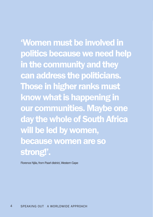**'Women must be involved in politics because we need help in the community and they can address the politicians. Those in higher ranks must know what is happening in our communities. Maybe one day the whole of South Africa will be led by women, because women are so strong!'.**

Florence Njila, from Paarl district, Western Cape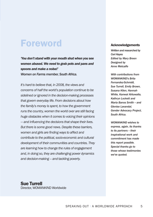## **Foreword**

*'You don't stand with your mouth shut when you see women abused. We need to grab pots and pans and spoons and make a noise!' Women on Farms member, South Africa.*

*It's hard to believe that, in 2008, the views and concerns of half the world's population continue to be sidelined or ignored in the decision-making processes that govern everyday life. From decisions about how the family's money is spent, to how the government runs the country, women the world over are still facing huge obstacles when it comes to voicing their opinions — and influencing the decisions that shape their lives. But there is some good news. Despite these barriers, women and girls are finding ways to affect and contribute to the political, socio-economic and cultural development of their communities and countries. They are learning how to change the rules of engagement and, in doing so, they are challenging power dynamics and decision-making* — *and tackling poverty.* 

#### **Acknowledgements**

*Written and researched by Ceri Hayes Edited by Mary Breen Designed by Anne Metcalfe*

*With contributions from WOMANKIND's Brita Fernandez-Schmidt, Sue Turrell, Emily Brown, Susana Klien, Hannah White, Kanwal Ahluwalia, Kathryn Lockett and Maria Banos Smith -- and Glenise Lavandal, Gender Advocacy Project, South Africa.* 

*WOMANKIND wishes to express, again, its thanks to its partners -- their inspirational work and commitment has made this report possible. Special thanks go to those whose testimonies we've quoted.* 

## **Sue Turrell**

Director, WOMANKIND Worldwide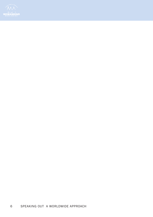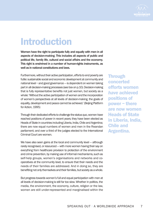

## **Introduction**

Women have the right to participate fully and equally with men in all aspects of decision-making. This includes all aspects of public and political life, family life, cultural and social affairs and the economy. This right is enshrined in a number of human-rights instruments, as well as in national constitutions and laws.

Furthermore, without their active participation, efforts to end poverty are futile: sustainable social and economic development at community and national level – and good governance — is dependent on women taking part in all decision-making processes (see box on p.10). Decision-making that is fully representative benefits not just women, but society as a whole: 'Without the active participation of women and the incorporation of women's perspectives at all levels of decision-making, the goals of equality, development and peace cannot be achieved.' (Beijing Platform for Action, 1995)

Through their dedicated efforts to challenge the status quo, women *have* reached positions of power in recent years; they have been elected as Heads of State in countries including Liberia, India, Chile and Argentina; there are now equal numbers of women and men in the Rwandan parliament; and over a third of the judges elected to the International Criminal Court are women.

We have also seen gains at the local and community level — although rarely recognised, or resourced — with more women having their say on everything from healthcare provision to protection of the environment and crime prevention, by making use of informal mechanisms, such as self-help groups, women's organisations and networks and cooperatives at the community level, to ensure that their needs and the needs of their families are addressed. And in doing so, they are benefiting not only themselves and their families, but society as a whole.

But progress towards women's full and equal participation with men at all levels of decision-making is still far too slow. Whether in politics, the media, the environment, the economy, culture, religion or the law, women are still under-represented and marginalised within the **Through concerted efforts women** *have* **achieved positions of power – there are now women Heads of State in Liberia, India, Chile and Argentina.**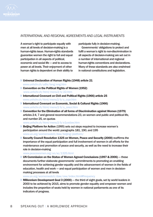

#### *INTERNATIONAL AND REGIONAL AGREEMENTS AND LEGAL INSTRUMENTS*

Awoman's right to participate equally with men at all levels of decision-making is a human-rights issue. Human-rights standards guarantee women the right to full and equal participation in all aspects of political, economic and social life — and to access to power at all levels. Their enjoyment of other human rights is dependent on their ability to

participate fully in decision-making.

Governments' obligations to protect and fulfil a woman's right to non-discrimination in all aspects of decision-making are set out in a number of international and regional human-rights conventions and declarations. Many of these standards are also enshrined in national constitutions and legislation.

- ◗ **Universal Declaration of Human Rights (1948) article 21** www.unhchr.ch/udhr/lang/eng.htm
- ◗ **Convention on the Political Rights of Women (1952)** www.unhchr.ch/html/menu3/b/22.htm
- ◗ **International Covenant on Civil and Political Rights (1966) article 25** www.unhchr.ch/html/menu3/b/a\_ccpr.htm
- ◗ **International Covenant on Economic, Social & Cultural Rights (1966)** www.unhchr.ch/html/menu3/b/a\_cescr.htm
- ◗ **Convention for the Elimination of all forms of Discrimination against Women (1979)** articles 2-4, 7 and general recommendations 23, on women and public and political life, and number 25, on quotas

www.unhchr.ch/html/menu3/b/e1cedaw.htm

- **Beijing Platform for Action** (1995) sets out steps required to increase women's participation around the world: paragraphs 181, 190, and 195 www.un.org/womenwatch/daw/beijing/platform/
- ◗ **Security Council Resolution 1325 on Women, Peace and Security (2000)** reaffirms the importance of the equal participation and full involvement of women in all efforts for the maintenance and promotion of peace and security, as well as the need to increase their role in decision-making

www.peacewomen.org/un/sc/1325.html

◗ **UN Commission on the Status of Women Agreed Conclusions (1997 & 2006)** — these documents further elaborate governments' commitments to promoting an enabling environment for achieving gender equality and the advancement of women in the fields of education, health and work — and equal participation of women and men in decisionmaking processes at all levels

www.un.org/womenwatch/daw/csw/index.html#frequency

**Nillennium Development Goal 3 (2000)** — the third of eight goals, set by world leaders in 2000 to be achieved by 2015, aims to promote gender equality and empower women and includes the proportion of seats held by women in national parliaments as one of its indicators of progress.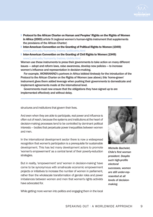

- ◗ **Protocol to the African Charter on Human and Peoples' Rights on the Rights of Women in Africa (2003)** article 9 (regional women's human-rights instrument that supplements the provisions of the African Charter)
- ◗ **Inter-American Convention on the Granting of Political Rights to Women (1949)** www1.umn.edu/humanrts/instree/politicalrts.html
- ◗ **Inter-American Convention on the Granting of Civil Rights to Women (1949)** www1.umn.edu/humanrts/instree/civilrts.html

Women use these instruments to press their governments to take action on many different issues — adopt and reform laws, raise awareness, develop new policies — to increase women's influence and representation in decision-making.

For example, WOMANKIND's partners in Africa lobbied tirelessly for the introduction of the Protocol to the African Charter on the Rights of Women (see above); this 'home-grown' instrument gives them added leverage when pushing their governments to domesticate and implement agreements made at the international level.

Governments must now ensure that the obligations they have signed up to are implemented effectively and without delay.

structures and institutions that govern their lives.

And even when they are able to participate, real power and influence is often out of reach, because the systems and institutions at the heart of decision-making processes tend to be controlled by dominant political interests — bodies that perpetuate power inequalities between women and men.

In the international development sector there is now a widespread recognition that women's participation is a prerequisite for sustainable development. This has led many development actors to promote 'women's empowerment' as a central tenet of their poverty-reduction strategies.

But in reality, 'empowerment' and 'women in decision-making' have come to be synonymous with small-scale economic empowerment projects or initiatives to increase the number of women in parliament, rather than the wholescale transformation of gender roles and power imbalances between women and men that women's rights activists have advocated for.

While getting more women into politics and engaging them in the local



*Michelle Bachelet, Chile's first woman president. Despite such high-profile electoral successes, women are still under-represented at all levels of decisionmaking.*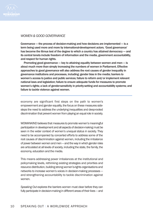

#### *WOMEN & GOOD GOVERNANCE*

Governance — the process of decision-making and how decisions are implemented — is a term being used more and more by international-development actors. 'Good governance' has become the litmus test of the degree to which a country has attained democracy — and its central tenets include freedom of information and the media, government accountability, and respect for human rights.

Promoting good governance — key to attaining equality between women and men — is about much more than simply increasing the numbers of women in Parliament. Effective approaches to good governance will also address the root causes of gender inequality in governance institutions and processes, including: gender bias in the media; barriers to women's access to justice and public services; failure to reform and/or implement relevant national laws and legislation; failure to ensure adequate funds for measures to promote women's rights; a lack of gender-sensitivity in priority-setting and accountability systems; and failure to tackle violence against women.

economy are significant first steps on the path to women's empowerment and gender equality, the focus on these measures sidesteps the need to address the underlying inequalities and deep-rooted discrimination that prevent women from playing an equal role in society.

WOMANKIND believes that measures to promote women's meaningful participation in development and all aspects of decision-making must be seen in the wider context of women's unequal status in society. They need to be accompanied by concerted efforts to address some of the root causes of discrimination against women, including the imbalance of power between women and men — and the way in which gender roles are articulated at all levels of society, including the state, the family, the economy, education and the media.

This means addressing power imbalances at the institutional and policymaking levels, rethinking existing strategies and priorities and resource distribution, building strong women's-rights organisations and networks to increase women's voices in decision-making processes and strengthening accountability to tackle discrimination against women.

*Speaking Out* explores the barriers women must clear before they can fully participate in decision-making in different areas of their lives — and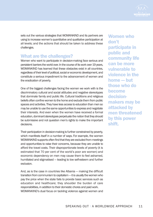

sets out the various strategies that WOMANKIND and its partners are using to increase women's quantitative and qualitative participation at all levels; and the actions that should be taken to address these challenges.

## **What are the challenges?**

Women who want to participate in decision-making face serious and persistent barriers the world over. In the course of its work over 19 years, WOMANKIND has learned that these obstacles exist in all countries, regardless of their level of political, social or economic development, and constitute a serious impediment to the advancement of women and the eradication of poverty.

One of the biggest challenges facing the women we work with is the discriminatory cultural and social attitudes and negative stereotypes that dominate family and public life. Cultural traditions and religious beliefs often confine women to the home and exclude them from public spaces and activities. They have less access to education than men so may be unable to use the same opportunities to express and negotiate their interests. And even when the women have received a formal education, dominant stereotypes perpetuate the notion that they should be submissive and not question men's rights to make the important decisions.

Their participation in decision-making is further constrained by poverty, which manifests itself in a number of ways. For example, the women WOMANKIND supports often find that they are excluded from meetings and opportunities to raise their concerns, because they are unable to afford the travel costs. Their disproportionate levels of poverty (it is estimated that 70 per cent of the world's poor are women) and economic dependency on men may cause them to feel ashamed, humiliated and stigmatised — leading to low self-esteem and further exclusion.

And, as is the case in countries like Albania — making the difficult transition from communism to capitalism — it is usually the women who pay the price when the state fails to provide basic services such as education and healthcare; they shoulder the burden of care responsibilities, in addition to their domestic chores and paid work. WOMANKIND's dual focus on tackling violence against women and

**Women who don't participate in public and community life can be more vulnerable to violence in the home — but those who do become decisionmakers may be attacked by men threatened by this power shift.**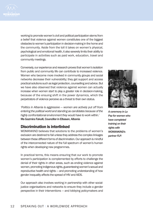

working to promote women's civil and political participation stems from a belief that violence against women constitutes one of the biggest obstacles to women's participation in decision-making in the home and the community. Aside from the toll it takes on women's physical, psychological and emotional health, it also severely limits their ability to participate in activities such as paid work, education, travel and community meetings.

Conversely, our experience and research proves that women's isolation from public and community life can contribute to increased violence. Women who become more involved in community groups and social networks decrease their vulnerability; they get support and access practical solutions such as legal protection, counselling and advice. But we have also observed that violence against women can actually increase when women start to play a greater role in decision-making, because of the ensuing shift in the power dynamics, which the perpetrators of violence perceive as a threat to their own status.

*'Politics in Albania is aggressive — women are actively put off from entering the political world and standing as candidates because of the highly confrontational environment they would have to work within.'* Ms Gazmira Fakulli, Councillor in Elbasan, Albania

## **Discrimination is interlinked**

WOMANKIND believes that solutions to the problems of women's exclusion are destined to fail unless they address the complex linkages between these different forms of discrimination. Our approach is mindful of the interconnected nature of the full spectrum of women's human rights when developing new programmes.

In practical terms, this means ensuring that our work to promote women's participation is complemented by efforts to challenge the denial of their rights in other areas, such as ending violence against women, promoting indigenous rights, guaranteeing women's sexual and reproductive health and rights — and promoting understanding of how gender inequality affects the spread of HIV and AIDS.

Our approach also involves working in partnership with other socialjustice organisations and networks to ensure they include a gender perspective in their interventions — and lobbying policymakers and



*A ceremony in La Paz for women who have completed training on their rights with WOMANKIND's partner FLP.*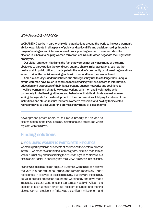

#### *WOMANKIND'S APPROACH*

WOMANKIND works in partnership with organisations around the world to increase women's ability to participate in all aspects of public and political life and decision-making through a range of strategies and interventions — from supporting women to vote and stand for election in Albania to helping women farm workers in South Africa negotiate their rights with employers.

Our global approach highlights the fact that women not only face many of the same obstacles to participation the world over, but also share similar aspirations, such as the desire to sit in public office, to participate in the work of community or informal organisations — and to sit at the decision-making table with men and have their voices heard.

And, as *Speaking Out* demonstrates, the strategies they use to challenge their unequal status with men have much in common too: increasing women's access to information, education and awareness of their rights; creating support networks and coalitions to mobilise women and share knowledge; working with men and involving the wider community in challenging attitudes and behaviours that discriminate against women; setting the agenda for the development of their communities; lobbying for reform of the institutions and structures that reinforce women's exclusion; and holding their elected representatives to account for the promises they make at election time.

development practitioners to call more broadly for an end to discrimination in the laws, policies, institutions and structures which regulate women's lives.

## **Finding solutions**

#### **1 MOBILISING WOMEN TO PARTICIPATE IN POLITICS**

Women's participation in all aspects of politics and the electoral process is vital — whether as candidates, campaigners, election monitors or voters. It is not only about exercising their human right to participate, but also a crucial factor in ensuring that their views are taken into account.

As the Who decides? box on page 15 illustrates, women still do not have the vote in a handful of countries, and remain massively underrepresented in all levels of decision-making. But they are increasingly active in political processes around the world today and have made impressive electoral gains in recent years, most notably in Africa — the election of Ellen Johnson-Sirleaf as President of Liberia and the first elected woman president in Africa was a significant milestone — and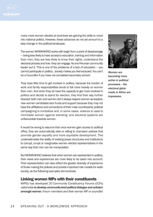

many more women elected at local level are gaining the skills to move into national politics. However, these advances do not yet amount to a step change in the political landscape.

The women WOMANKIND works with begin from a point of disadvantage —being less likely to have access to education, training and information than men, they are less likely to know their rights, understand the electoral process and how they can engage. As one Peruvian community leader put it: 'This is one of the problems of a lack of education — you cannot participate in politics…society makes you feel excluded. You can't be a Councillor if you have not completed secondary school.'

They have little time to get involved in politics, because the burden of work and family responsibilities tends to fall more heavily on women than men. And when they do have the capacity to get more involved in politics and decide to stand for election, they find their way further blocked: both men and women don't always respect women as leaders; newwomen candidates lack funds and support because they may not have the affiliations and connections of their male counterparts; political campaigning is combative and, in some cases, violence is used to intimidate women against standing; and electoral systems are unfavourable towards women.

It would be wrong to assume that once women gain access to political office, they are automatically able or willing to champion policies that promote gender equality and more equitable development. This underestimates the ability of existing power structures and institutions to corrupt, co-opt or marginalise women elected representatives in the same way that men can be manipulated.

But WOMANKIND believes that when women are represented in politics, their views and experiences are more likely to be taken into account. Their representation can also reflect the greater diversity of experience of those making the policies and provide important role models for wider society, as the following examples demonstrate.

## **Linking women MPs with their constituents**

WiPSU has developed 20 Community Constituency Forums (CCFs) nationwide to develop community-level political dialogue and activism amongst women. Forum members and their woman MP or councillor



*Women are becoming more active in political processes -- the electoral gains made in Africa are impressive.*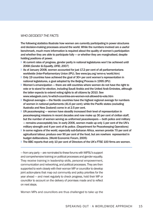#### *WHO DECIDES? THE FACTS*

The following statistics illustrate how women are currently participating in power structures and decision-making processes around the world. While the numbers involved are a useful benchmark, much more information is required about the quality of women's participation and whether they are able to participate fully — or whether they are marginalised, despite holding positions of power.

- ◗ At current rates of progress, gender parity in national legislatures won't be achieved until 2068 (*Gender & Equality, DFID, 2007*)
- ◗ As of January 2008, women accounted for just 17.2 per cent of all parliamentarians worldwide (Inter-Parliamentary Union (IPU). See www.ipu.org/wmn-e/world.htm)
- ◗ Only 19 countries have achieved the goal of 30+ per cent women's representation in national legislatures, a goal adopted by the Beijing Process in 1995 (IPU)
- Women's emancipation there are still countries where women do not have the right to vote or to stand for election, including Saudi Arabia and the United Arab Emirates, although the latter expects to extend voting rights to all citizens by 2010. See www.wisegeek.com/in-which-countries-are-women-not-allowed-to-vote.htm
- ◗ Regional averages the Nordic countries have the highest regional average for numbers of women in national parliaments (41.6 per cent); while the Pacific states (excluding Australia and New Zealand) come in at 2.5 per cent.
- ◗ UN peacekeeping women have steadily increased their level of representation in peacekeeping missions in recent decades and now make up 30 per cent of civilian staff, but the number of women serving as uniformed peacekeepers — both police and military — remains unacceptably low. In early 2006, women made up only 1 per cent of the UN's military strength and 4 per cent of its police. (Department for Peacekeeping Operations)
- In some regions of the world, especially sub-Saharan Africa, women provide 70 per cent of agricultural labour, produce over 90 per cent of the food, but are nowhere represented in budget deliberations. (World Economic Forum, 2005)
- ◗ The BBC reports that only 10 per cent of Directors of the UK's FTSE 100 firms are women.

—from any party — are nominated to these forums with WiPSU's support and comprehensive training on political processes and gender equality. They receive training in leadership skills, personal empowerment, communication and networking, and political processes. They are then supported to work closely with their woman MP or councillor to develop joint action-plans that map out community and policy priorities for the year ahead — and meet regularly to check progress, hold their MP or councillor to account on the delivery of promises made and to reflect on next steps.

Women MPs and councillors are thus challenged to take up the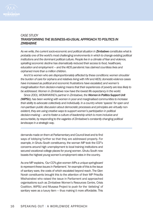

#### *CASE STUDY TRANSFORMING THE BUSINESS-AS-USUAL APPROACH TO POLITICS IN ZIMBABWE*

*As we write, the current socio-economic and political situation in Zimbabwe constitutes what is probably one of the world's most challenging environments in which to change existing political institutions and the dominant political culture. People live in a climate of fear and violence, spiralling economic decline has dramatically reduced their access to food, healthcare, education and employment — and the AIDS pandemic has claimed countless lives and orphaned more than a million children.* 

*And it is women who are disproportionately affected by these conditions: women shoulder the burden of care for orphans and relatives living with HIV and AIDS; domestic-violence cases have increased as political and economic frustrations have escalated; and women's marginalisation from decision-making means that their experiences of poverty are less likely to be addressed. Women in Zimbabwe now have the lowest life expectancy in the world.*

*Since 2001, WOMANKIND's partner in Zimbabwe, the Women in Politics Support Unit (WiPSU), has been working with women in poor and marginalised communities to increase their ability to advocate collectively and individually. In a country where 'spaces' for open and non-partisan public discussion about democratic processes and principles are virtually nonexistent, they are using creative ways to support women's participation in political decision-making — and to foster a culture of leadership which is more inclusive and accountable, by responding to the vagaries of Zimbabwe's constantly changing political landscape in a strategic way*.

demands made on them at Parliamentary and Council level and to find ways of lobbying further so that they are addressed properly. For example, in Ghutu South constituency, the woman MP took the CCF's concerns around high unemployment to local training institutions and secured vocational college places for young women. Ghutu South now boasts the highest young women's employment rates in the country.

As one MP explains, *'Our CCFs givewomen MPs a unique springboard to represent these issues in Parliament.*'An example of this is the issue of sanitary ware, the costs of which escalated beyond reach. The Glen Norah constituents brought this to the attention of their MP Priscilla Misihairabwi who raised the issue in Parliament and approached organisations such as Zimbabwe Women's Resources Centre, Crisis Coalition, WiPSU and Musasa Project to push for the 'delisting' of sanitary ware as a luxury item - thus making it more affordable. This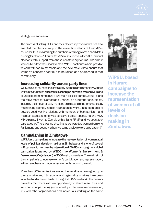

strategy was successful.

The process of linking CCFs and their elected representatives has also enabled members to support the re-election efforts of their MP or councillor, thus maximising the numbers of strong women candidates running for office — 11 out of 13 MPs were retained in the 2005 national elections with support from these constituency forums. And where women MPs lose their seats to men, WiPSU continues where possible to work with forum members and the new male MP to ensure that women's concerns continue to be raised and addressed in that constituency.

## **Increasing solidarity across party lines**

WiPSU also co-founded the cross-party Women's Parliamentary Caucus which has facilitated successful exchanges between women MPs and councillors from Zimbabwe's two main political parties, Zanu PF and the Movement for Democratic Change, on a number of subjects, including the impact of early marriage on girls, and bride inheritance. By maintaining a strictly non-partisan stance, WiPSU has been able to develop good working relations with members of both parties — and maintain access to otherwise sensitive political spaces. As one MDC MP explains, 'I went to Zambia with a Zanu PF MP and we spent four days together. There was no shouting as we were two women from one Parliament, one country. When we came back we were quite a team!'

## **Campaigning in Zimbabwe**

WiPSU also campaigns to increase the representation of women at all levels of political decision-making in Zimbabwe and is one of several WK partners to promote the international 50/50 campaign - a global campaign launched by WEDO (the Women's Environment & Development Organisation) in 2000—at country-level. The main aim of the campaign is to increase women's participation and representation, with an emphasis on national governments, around the world.

More than 300 organisations around the world have now signed up to the campaign and 18 national and regional campaigns have been launched under the umbrella of the global 50/50 network. The network provides members with an opportunity to share resources and information for promoting gender equality and women's representation, link with other organisations and individuals working on the same



**WiPSU, based in Harare, campaigns to increase the representation of women at all levels of decisionmaking in Zimbabwe.**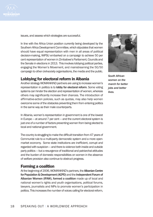

issues, and assess which strategies are successful.

In line with the Africa Union position currently being developed by the Southern Africa Development Committee, which stipulates that women should have equal representation with men in all areas of political decision-making, WiPSU embarked on a campaign to achieve 50 per cent representation of women in Zimbabwe's Parliament, Councils and the Senate in elections in 2013. This involves lobbying political parties, engaging the Women's Movement, and mainstreaming the 50/50 campaign to other civil-society organisations, the media and the public.

## **Lobbying for electoral reform in Albania**

Another strategy WOMANKIND partners are using to increase women's representation in politics is to lobby for electoral reform. Some voting systems can hinder the election and representation of women, whereas others may significantly increase their chances. The introduction of affirmative-action policies, such as quotas, may also help women overcome some of the obstacles preventing them from entering politics in the same way as their male counterparts.

In Albania, women's representation in government is one of the lowest in Europe — at around 7 per cent — and the current electoral system is just one of a number of factors preventing women from being elected to local and national government.

The country is struggling to make the difficult transition from 47 years of Communist rule to a multi-party democratic system and a more openmarket economy. Some state institutions are inefficient, corrupt and regarded with suspicion — and there is violence both inside and outside party politics — but a resurgence of traditional and patriarchal attitudes and the burden of domestic responsibilities on women in the absence of welfare provision also continue to obstruct progress.

## **Forming a coalition**

At the beginning of 2006, WOMANKIND's partners, the Albanian Centre for Population & Development (ACPD) and the Independent Forum of Albanian Women (IFAW), formed a coalition made up of local and national women's rights and youth organisations, political forums, lawyers, journalists and MPs to promote women's participation in politics. This increases the number of voices calling for electoral reform,



*South African women on the march for better jobs and better lives.*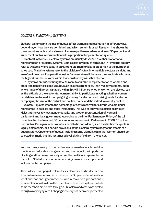

#### *QUOTAS & ELECTORAL SYSTEMS*

Electoral systems and the use of quotas affect women's representation in different ways, depending on how they are combined and which system is used. Research has shown that those countries with a critical mass of women parliamentarians — at least 30 per cent — all implement quotas in combination with a proportional-representation system.

**Electoral systems** — electoral systems are usually described as either proportionalrepresentation or majority systems. Both exist in a variety of forms, but PR systems broadly refer to systems where seats in parliament are more or less in proportion to the number of votes cast. Majority systems refer to the division of voters into multiple electoral districts, and are often known as 'first-past-the-post' or 'winner-takes-all' because the candidate who wins the highest number of votes within that constituency wins that election.

PR systems are widely thought to be more favourable to representation of women and other traditionally excluded groups, such as ethnic minorities, than majority systems, but a whole range of different variables within this will influence whether women are elected, such as the attitude of the electorate, women's ability to participate in voting, whether women candidates are trained in campaigning, running for election and raising funds for election campaigns, the size of the district and political party, and the individual-country context.

**Quotas** — quotas refer to the percentage of seats reserved for citizens who are underrepresented in political and other institutions. This type of affirmative-action policy may kick-start moves towards gender equality and greater representation of women in parliament and local government. According to the Inter-Parliamentary Union, of the 19 countries that had reached 30 per cent or more women in Parliament in 2006, 16 of them use quotas. But again, other variables need to be considered, such as whether the quota is legally enforceable, or if certain provisions of the electoral system negate the effects of a quota system. Opponents of quotas, including some women, claim that women should be selected on merit, but this assumes a level playing-field from the outset.

and promotes greater public acceptance of women leaders through the media — and educates young women and men about the importance of voting and becoming politically active. The coalition is represented in 32 out of 36 districts of Albania, ensuring grassroots support and inclusion in the campaign.

Their collective campaign to reform the electoral process has focused on a quota to reserve for women a minimum of 30 per cent of all seats in local and national government — and a move to a proportionalrepresentation system from the current mixed electoral system in which some members are elected through a PR system and others are elected through a majority system. Lobbying in-country has been complemented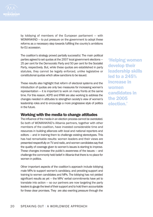

by lobbying of members of the European parliament — with WOMANKIND — to put pressure on the government to adopt these reforms as a necessary step towards fulfilling the country's ambitions for EU accession.

The coalition's strategy proved partially successful. The main political parties agreed to set quotas at the 2007 local government elections — 25 per cent for the Democratic Party and 50 per cent for the Socialist Party, respectively. But, while these quotas are established in party statutes, they cannot be legally enforced, unlike legislative or constitutional quotas which allow sanctions to be issued.

These results also highlight that reform of electoral systems and the introduction of quotas are only two measures for increasing women's representation — it is important to work on many fronts at the same time. For this reason, ACPD and IFAW are also working to address the changes needed in attitudes to strengthen society's view of women's leadership roles and to encourage a more progressive style of politics in the future.

#### **Working with the media to change attitudes**

The influence of the media in an election process cannot be overstated. So both of WOMANKIND's Albania partners, together with other members of the coalition, have invested considerable time and resources in building alliances with local and national reporters and editors — and in training them to challenge existing stereotypes. This has had remarkable results: women leaders and their views are presented respectfully on TV and radio, and women candidates say that the quality of coverage given to women's issues is starting to improve. These changes increase the public's awareness of the issues — and challenge the commonly held belief in Albania that there is no place for women in politics.

Other important aspects of the coalition's approach include lobbying male MPs to support women's candidacy, and providing support and training to women candidates and MPs. The lobbying has not yielded significant results as yet — the MPs' verbal commitments have yet to translate into action — so our partners are now targeting the party leaders to gauge the level of their support and to hold them accountable for these clear promises. They are also exerting pressure through the

**'Helping women develop their leadership skills led to a 245% increase in women candidates in the 2005 election.'**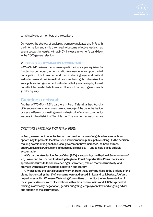

combined voice of members of the coalition.

Conversely, the strategy of equipping women candidates and MPs with the information and skills they need to become effective leaders has seen spectacular results, with a 245% increase in women's candidacy in the 2005 general election.

#### **2HOLDING POLICYMAKERS ACCOUNTABLE**

WOMANKIND believes that women's participation is a prerequisite of a functioning democracy — democratic governance relies upon the full participation of both women and men in shaping legal and political institutions — and policies — that promote their rights. Otherwise, the laws, policies and government institutions that govern everyday life will not reflect the needs of all citizens, and there will not be progress towards gender equality.

## **Creating a network**

Another of WOMANKIND's partners in Peru, Calandria, has found a different way to ensure women take advantage of the decentralisation process in Peru — by creating a regional network of women community leaders in the district of San Martin. The women, already active

#### *CREATING SPACE FOR WOMEN IN PERU*

In **Peru**, government decentralisation has provided women's-rights advocates with an opportunity to promote local women's involvement in public policymaking. As the decisionmaking powers of regional and local government have increased, so have citizens' opportunities to scrutinise and influence public policies — and to hold public officials accountable.

WK's partner **Asociacion Aurora Vivar (AAV)** is supporting the Regional Governments of Ica, Pasco and La Libertad to **develop Regional Equal Opportunities Plans** that include specific measures to tackle violence against women, reduce maternal mortality, and promote women's employment, education and literacy.

AAV facilitated the participation of women from these communities in the drafting of the plans, thus ensuring that *their* concerns were addressed. In Ica and La Libertad, AAV also helped to establish Women's Watchdog Committees to monitor the implementation of these plans. Women were elected from within their communities and AAV has provided training in advocacy, negotiation, gender budgeting, employment law and ongoing advice and support to the committees.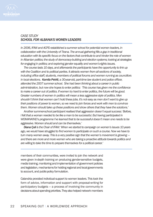

#### *CASE STUDY SCHOOL FOR ALBANIA'S WOMEN LEADERS*

*In 2006, IFAW and ACPD established a summer school for potential women leaders, in collaboration with the University of Tirana. The annual gathering fills a gap in traditional education with its specific focus on the factors that contribute to and hinder the role of women in Albanian politics; the study of democracy-building and election systems; looking at strategies for engaging in politics; and exploring gender equality and women's-rights issues.*

*The course lasts 10 days, and afterwards the participants have the opportunity to link up with the Coalition and to political parties. It attracts women from all sections of society, including office staff, students, members of political forums and women running as councillors in local elections. Kamila Petriti, a 30-year-old, part-time law student and police officer, attended the 2007 summer school. She had been thinking about a career in public administration, but now she hopes to enter politics: 'This course has given me the confidence to make a career out of politics. If women try hard to enter politics, the future will be good. Greater numbers of women in politics will mean a less aggressive style of politics. Men shouldn't think that women can't hold these jobs. It's not easy as men don't want to give up their positions of power to women, so we need to join forces and work with men to convince them. Women should take up these positions and show others that they have the solutions.'* 

*Another summer-school participant realised that aggression doesn't equal success: 'Before, Ifelt that a woman needed to be like a man to be successful. But having participated in WOMANKIND's programme I've learned that to be successful doesn't mean one needs to be aggressive. Women should and can be themselves.'*

*Diana Çuli is the Chair of IFAW: 'When we started to campaign on women's issues 10 years ago, wewould have struggled to find women to participate on such a course. Now we have to turn many women away. This is a very positive sign that the women's movement is growing and there are more and more women who are taking a proactive attitude towards politics and are willing to take the time to prepare themselves for a political career.'*

members of their communities, were invited to join the network and were given in-depth training on producing gender-sensitive budgets, media training, monitoring and implementation of government policies and legislation, mechanisms for holding regional and local governments to account, and public-policy formulation.

Calandria provided individual support to women leaders. This took the form of advice, information and support with proposal-writing for participatory budgets — a process of involving the community in decisions about spending priorities. They also helped network members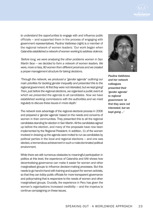

to understand the opportunities to engage with and influence public officials — and supported them in the process of engaging with government representatives. Paulina Valdivieso (right) is a member of the regional network of women leaders: *'Our work began when Calandria established a network of women working to address violence.* 

*'Before long, we were analysing the other problems women in San Martin face* — *we decided to form a network of women leaders. We were, more or less, 80 women from different provinces and we created a proper management structure for taking decisions.* 

*'Through the network, we produced a "gender agenda" outlining our main priorities for tackling gender inequality and presented this to the regional government. At first they were not interested, but we kept going! Then, just before the regional elections, we organised a public event at which we presented the agenda to all candidates. Now we have established working commissions with the authorities and we meet regularly to discuss these issues in more depth.'* 

The network took advantage of the regional electoral process in 2006 and prepared a 'gender agenda' based on the needs and concerns of women in their communities. They presented this to all the regional candidates standing for election in San Martin. All the candidates signed up before the election, and many of the proposals have now been implemented by the Regional President. In addition, 11 of the women involved in drawing up the agenda were invited to run as candidates by political parties in the local and regional elections — and one was elected, a tremendous achievement in such a male-dominated political environment.

While there are still numerous obstacles to meaningful participation in politics at this level, the experience of Calandria and AAV shows how decentralising governance can make it easier for women and other marginalised groups to influence decision-making processes. But this needs to go hand-in-hand with training and support for women activists, so that they can lobby public officials for more transparent governance and policymaking that is responsive to the needs of women and other marginalised groups. Crucially, the experience in Peru has given the women's organisations increased credibility — and the impetus to continue campaigning on these issues.



*Paulina Valdivieso and her network colleagues presented their 'gender agenda' to regional government: 'at first they were not interested, but we kept going ...'*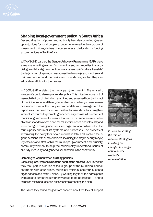## **Shaping local-government policy in South Africa**

Decentralisation of power and authority has also provided greater opportunities for local people to become involved in the scrutiny of government policies, delivery of local services and allocation of funding to communities in South Africa.

WOMANKIND partner, the Gender Advocacy Programme (GAP), plays a key role in getting women from marginalised communities to start a dialogue with local-government decision-makers. GAP workers 'translate' the legal jargon of legislation into accessible language, and mobilise and train women to build their skills and confidence, so that they can advocate and lobby for themselves.

In 2005, GAP assisted the municipal government in Drakenstein, Western Cape, to develop a gender policy. This initiative arose out of research GAP conducted which examined and assessed how the impact of municipal services differed, depending on whether you were a man or a woman. One of the many recommendations to emerge from the report was the need for municipalities to take steps to strengthen internal structures to promote gender equality across all functions of municipal government to: ensure that municipal services were better able to respond to women and men's specific needs and interests; and to encourage a more gender-sensitive, organisational culture within the municipality and in all its systems and processes. The process of formulating the policy took seven months in total and involved focusgroup sessions with all stakeholders, including the mayor, deputy-mayor, key officials and staff within the municipal government and, crucially, community women, to help the municipality understand issues of diversity, inequality and gender discrimination in the community.

#### **Listening to women when drafting policies**

Consulting local women was at the heart of the process. Over 10 weeks they took part in a series of focus groups at the municipal-council chambers with councillors, municipal officials, community-based organisations and trade unions. By working together, the participants were able to agree the key priority areas to be addressed — and to establish roles and responsibilities for implementing the plan.

The issues they raised ranged from concern about the lack of support



*Posters illustrating the role of memorable slogans in calling for change: 'A stronger nation needs women's representation.'*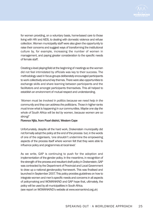

for women providing, on a voluntary basis, home-based care to those living with HIV and AIDS, to dealing with domestic violence and refuse collection. Women municipality staff were also given the opportunity to raise their concerns and suggest ways of transforming the institutional culture by, for example, increasing the number of women in management, and paying greater consideration to the specific needs of female staff

Creating a level playing-field at the beginning of meetings so the women did not feel intimidated by officials was key to their success. The methodology used in focus groups deliberately encouraged participants to work collectively around key themes. There were also opportunities to exchange skills and share learning between participants and the facilitators and amongst participants themselves. This all helped to establish an environment of mutual respect and understanding.

*'Women must be involved in politics because we need help in the community and they can address the politicians. Those in higher ranks must know what is happening in our communities. Maybe one day the whole of South Africa will be led by women, because women are so strong!'*

#### Florence Njila, from Paarl district, Western Cape

Unfortunately, despite all the hard work, Drakenstein municipality did not formally adopt the policy at the end of the process but, in the words of one of the organisers, 'one shouldn't undermine the empowering aspects of the process itself where women felt that they were able to influence policy and programmes at local level.'

As we write, GAP is continuing to push for the adoption and implementation of the gender policy. In the meantime, in recognition of the strength of the process and resultant draft policy in Drakenstein, GAP was contracted by the Department of Provincial and Local Government to draw up a national gender-policy framework. This was finalised and launched in September 2007. This policy provides guidelines on how to integrate women and men's specific needs and concerns in all aspects of policymaking and WOMANKIND and GAP hope that, ultimately, the policy will be used by all municipalities in South Africa. (see report on WOMANKIND's website at www.womankind.org.uk)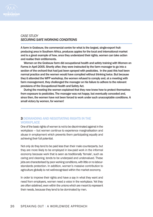

#### *CASE STUDY SECURING SAFE WORKING CONDITIONS*

A farm in Grabouw, the commercial centre for what is the largest, single-export fruitproducing area in Southern Africa, produces apples for the local and international market and is a great example of how, once they understand their rights, women can take action and realise their entitlements.

Women on the Grabouw farm did occupational health and safety training with Women on Farms in April 2005. Shortly after, they were instructed by the farm manager to go into a section of the orchard that had just been sprayed with pesticides. In the past this had been normal practice and the women would have complied without thinking twice. But because they'd attended the WFP workshop, the women refused to comply and, at a meeting with farm management, they challenged the manager on his failure to adhere to the relevant provisions of the Occupational Health and Safety Act.

During the meeting the women explained that they now knew how to protect themselves from exposure to pesticides. The manager was not happy, but eventually conceded and, since then, the women have not been forced to work under such unacceptable conditions. A small victory by women, for women!

#### **3DEMANDING AND NEGOTIATING RIGHTS IN THE WORKPLACE**

One of the basic rights of women is not to be discriminated against in the workplace — but women continue to experience marginalisation and abuse in employment which prevents them participating equally and achieving their full potential.

Not only do they tend to be paid less than their male counterparts, but they are more likely to be employed in low-paid work in the informal economy because work that is seen as traditionally 'female', such as caring and cleaning, tends to be underpaid and undervalued. These jobs are characterised by poor working conditions, with little or no labourstandards protection. In addition, women's massive contribution to agriculture globally is not well-recognised within the market economy.

In order to improve their rights and have a say in what they want and need from employers, women need a voice in the workplace. Yet they are often sidelined, even within the unions which are meant to represent their needs, because they tend to be dominated by men.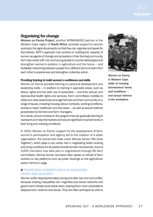

## **Organising for change**

Women on Farms Project, another WOMANKIND partner in the Western Cape region of **South Africa**, provides support to women working in the agricultural sector so that they can organise and speak for themselves. WFP's approach has centred on building the capacity of women as agents of change and as leaders in their farming community, but it also works with men and young people to counter stereotypes and strengthen women's position in agriculture and the home — and facilitates networking between people from different farms to learn from each other's experiences and strengthen collective action.

#### **Providing training to build women's confidence and skills**

Women on Farms provides training on personal development and leadership skills — in addition to training in specialist areas, such as labour rights and the safe use of pesticides — and their sexual- and reproductive-health rights and services. Farm committees mobilise to lobby and raise awareness amongst farmers and their community on a range of issues, including housing, labour contracts, working conditions, access to basic healthcare and sick leave — as well as sexual violence perpetrated by farmers and farm managers.

As a result, women involved in the programmes are gradually learning to represent and help themselves and secure significant improvements in their living and working conditions.

In 2004, Women on Farms' support for the development of farmwomen's participation and agency led to the creation of a sister organisation, the women-led trade union Sikhula Sonke ('We Grow Together'), which plays a very active role in negotiating better working and living conditions for its predominantly female membership. Around 3,650 members now take part in negotiations through 85 farm committees. Sikhula Sonke members often speak on behalf of farm workers on key platforms such as public hearings on the agriculturalsector minimum wage.

#### **4PROMOTING WOMEN'S ROLE IN ADVANCING PEACE AND SECURITY**

Women suffer disproportionately during and after war and civil conflict, because existing inequalities are magnified and social networks and government infrastructure break down, leaving them more vulnerable to displacement, violence and abuse. They are often portrayed as victims



*Women on Farms, in Western Cape, lobby on housing, farmworkers' terms and conditions and sexual violence in the workplace.*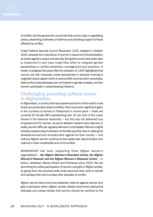

of conflict, but this ignores the crucial role that women play in negotiating peace, preventing outbreaks of violence and providing support to those affected by conflict.

United Nations Security Council Resolution 1325, adopted in October 2000, stresses the importance of women's equal and full participation as active agents in peace and security. But governments have been slow to implement it and have made little effort to integrate gender perspectives in conflict prevention, management and resolution. A review of progress five years after the adoption of 1325 highlighted that women are still massively under-represented in decision-making to negotiate peace agreements or post-conflict reconstruction processes; defence-force peacekeepers are not trained in gender analysis, and few women participate in peacekeeping missions.

## **Challenging prevailing cultural norms in Afghanistan**

In Afghanistan, a country that has experienced some of the world's most brutal and protracted violent conflicts, there have been significant gains in the numbers of women in Parliament in recent years — there are currently 91 female MPs representing over 25 per cent of the Lower House in the National Assembly — but this has not delivered true empowerment for women, as some Western leaders have claimed. In reality, women MPs are regularly silenced or intimidated. Women's-rights activists express deep frustration at the little say they have in setting the development-aid and reconstruction agenda for their country — and ordinary Afghan women continue to face systematic discrimination and violence in their households and communities.

WOMANKIND has been supporting three Afghan women's organisations — the Afghan Women's Education Centre, the Afghan Women's Network and the Afghan Women's Resource Centre — in Kabul, Jalalabad, Mazar-i-Sharif and Peshawar since 2003. We are promoting the active participation of women and girls in Afghan society, by giving them the practical skills ands resources they need to rebuild and develop their communities after decades of conflict.

Afghan women face enormous obstacles: violence against women and girls is pervasive within Afghan society; deeply entrenched patriarchal attitudes and values dictate that women should be confined to the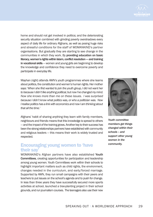

home and should not get involved in politics; and the deteriorating security situation combined with grinding poverty overshadows every aspect of daily life for ordinary Afghans, as well as posing huge risks and stressful conditions for the staff of WOMANKIND's partner organisations. But gradually they are starting to see change in the communities in which they work. By providing education on basic literacy, women's rights within Islam, conflict resolution — and training in vocational skills — women and young girls are beginning to develop the knowledge and confidence they need to overcome poverty and participate in everyday life.

Mayhan (right) attends AWN's youth programmes where she learns about politics, the constitution and women's human rights. Her mother says: *'When she first wanted to join the youth group, I did not want her to because I didn't like anything political, but now I've changed my mind. Now she knows more than me on these issues. I was surprised because I didn't know what politics was, or who a politician was. Now Irealise politics has a link with economics and now I am thinking about that all the time.'*

Afghans' habit of sharing anything they learn with family members, neighbours and friends means that this knowledge is spread to others —and the impact of the training grows. Another key to their success has been the strong relationships partners have established with community and religious leaders — this means their work is widely trusted and respected.

## **Encouraging young women to 'have their say'**

WOMANKIND's Afghan partners have also established Youth Committees, creating opportunities for participation and leadership among young women. Youth Committees work within their schools to highlight important matters such as child rights, the environment, changes needed in the curriculum, and early/forced marriage. Supported by AWN, they run small campaigns with their peers and teachers to put issues on the school's agenda and to push for change. In less than three years they have successfully secured more sports activities at school, launched a tree-planting project in their school grounds, and run journalism courses. The teenagers also use their new



*Youth committee members get things changed within their schools -- and support other young women in the community.*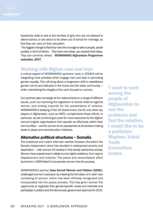

leadership skills to talk to the families of girls who are not allowed to attend school, or are about to be taken out of school for marriage, so that they can carry on their education.

*'The biggest change is that they have the courage to talk to people, speak publicly, in front of others. They have new ideas, can express their ideas. They can convince others.'* WOMANKIND Afghanistan Programme evaluation, 2007.

## **Working with Afghan men and boys**

A critical aspect of WOMANKIND partners' work in 2008-9 will be integrating more activities which engage men and boys in promoting gender equality. This will bring about a longer-term shift in established gender norms and attitudes in the home and the wider community while maintaining the integrity of the work focused on women.

Our partners also campaign at the national level on a range of different issues, such as improving the legislation to tackle violence against women and ending impunity for the perpetrators of violence. WOMANKIND's lobbying of the UK Government, the EU and other key players in Afghanistan, such as NATO, complements these efforts. In particular, we are continuing to push for more resources for the Afghan women's-rights organisations that operate so effectively within their communities — and for women to be represented at all decision-making levels in peace and reconstruction initiatives.

## **Alternative political structures – Somalia**

The sustained and violent inter-clan warfare between Somalia's five fiercely independent clans has resulted in widespread poverty and deprivation - with women hit hardest in this strictly patriarchal society. Women have experienced multiple human-rights violations, from rape to displacement and violence. The peace and reconciliation effort launched in 1999 failed to incorporate women into the process.

WOMANKIND's partner, Save Somali Women and Children (SSWC), challenged women's exclusion by initiating the formation of a 'sixth' clan consisting of women, which has been officially recognised and incorporated into the peace process. This has given women the opportunity to negotiate their gender-specific needs and interests and participate in politics and the democratic government planned for 2010.

**'I want to work among the people of Afghanistan to see the problems and find the solution. I would like to be a politician.' Mayhan, Kabul Youth Committee leader.**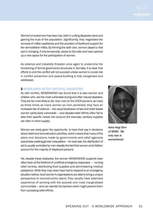

Women's involvement has been key, both in uniting disparate clans and gaining the trust of the population. Significantly, they negotiated the removal of militia roadblocks and the provision of livelihood support for the demobilised militia. By forming the sixth clan, women played a vital part in bringing, if only temporarily, peace to Somalia and have opened up a new space for the participation of women.

As violence and instability threaten once again to undermine the functioning of formal governance structures in Somalia, it is clear that efforts to end the conflict will not succeed unless women's crucial role in conflict prevention and peace-building is fully recognised and addressed.

#### **5 MOBILISING AFTER NATURAL DISASTERS**

As with conflict, WOMANKIND has found that it is also women and children who are the most vulnerable during and after natural disasters. Theyare far more likely to die than men (in the 2004 tsunami, as many as three times as many women as men perished); they face an increased risk of violence — the usual breakdown of law and order leaves women particularly vulnerable — and disaster-relief efforts often fail to take their specific needs into account (for example, sanitary supplies are often in short supply).

Women are rarely given the opportunity to have their say in decisions about relief and reconstruction priorities, which means that many of the plans and decisions made by governments and relief agencies exacerbate existing gender inequalities — for example, the distribution of aid is usually controlled by men despite the fact that women and children account for the majority of displaced persons.

Yet, despite these obstacles, the women WOMANKIND supports have often been at the forefront of unofficial emergency responses — running relief centres, distributing food supplies and administering medical assistance. While theymay never have had to respond to an emergency situation before, local women's organisations are able to bring a unique perspective to reconstruction plans: they usually have extensive experience of working with the poorest and most marginalised communities — and can identify the barriers which might prevent them from accessing relief efforts.



*Asha Hagi Elmi of SSWC: 'My only clan is womanhood.'*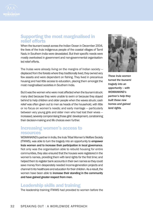

## **Supporting the most marginalised in relief efforts**

When the tsunami swept across the Indian Ocean in December 2004, the lives of the Irula indigenous people of the coastal villages of Tamil Nadu in Southern India were devastated. But their specific needs were mostly overlooked in government and non-governmental organisationled relief efforts.

The Irulas were already living on the margins of Indian society displaced from the forests where they traditionally lived, they owned very few assets and were dependent on fishing. They lived in precarious housing and had little access to education, placing them amongst the most marginalised societies in Southern India.

But it was the women who were most affected when the tsunami struck: many died because they were unable to swim or because they stayed behind to help children and older people when the waves struck; cash relief was often given out to men as heads of the household, with little or no focus on women's needs; and early marriage — particularly between very young girls and older men who had lost their wives increased, severely compromising those girls' development, constraining their decision-making and life choices even further.

## **Increasing women's access to resources**

WOMANKIND's partner in India, the Irula Tribal Women's Welfare Society (ITWWS), was able to turn the tragedy into an opportunity to empower Irula women and to increase their participation in local governance. Not only was the organisation able to rebuild housing for entire communities, they also ensured that the houses were registered in the women's names, providing them with land rights for the first time; and helped them to register bank accounts in their own names so they could save money from desperately needed income-generation projects and channel it into healthcare and education for their children. As a result, the women have been able to increase their standing in the community and have gained greater respect from men.

## **Leadership skills and training**

The leadership training ITWWS had provided to women before the



*These Irula women turned the tsunami tragedy into an opportunity -- with WOMANKIND's partner's help they built these new homes and gained land rights.*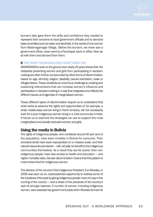

tsunami also gave them the skills and confidence they needed to represent their concerns to local government officials and to demand basic amenities such as water and electricity. In the words of one woman from Masimaganagar Village, 'Before the tsunami, we never saw a government officer, never went to a Panchayat, bank or office. Now we sit with them and demand from them.'

#### **6 THE MOST MARGINALISED HAVE THEIR SAY**

WOMANKIND's work on the ground over nearly 20 years shows that the obstacles preventing women and girls from participating in decisionmaking are often further compounded by other forms of discrimination, based on age, ethnicity, religion, disability, sexual orientation, caste or refugee status. These constitute an enormous challenge to creating and sustaining interventions that can increase women's influence and participation in decision-making in a way that integrates and reflects the different issues and agendas of marginalised women.

These different layers of discrimination require us to understand that what works to advance the rights and opportunities of, for example, a white middle-class woman living in North America, will not necessarily work for a poor indigenous woman living in a rural community in India. It forces us to examine the strategies we use to support the most marginalised and socially excluded women and girls.

## **Using the media in Bolivia**

The rights of indigenous people, who constitute around 60 per cent of the population, have been invisible in Bolivia for centuries. Their ancestral lands have been expropriated on a massive scale, and their natural resources plundered — with virtually no benefit to the indigenous communities themselves. As a result they are far poorer than nonindigenous people, have less access to health and education — and higher mortality rates. Gender discrimination means that this pattern is most entrenched for indigenous women.

The election of the country's first indigenous President, Evo Morales, in 2006 was seen as an unprecedented opportunity to redress some of the injustices of the past by giving indigenous people more of a say in the running of the country — and a share of the proceeds of the country's vast oil and gas reserves. A number of women, including indigenous women, were awarded key government posts when Morales formed his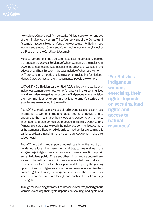

new Cabinet. Out of the 18 Ministries, five Ministers are women and two of them indigenous women. Thirty-four per cent of the Constituent Assembly — responsible for drafting a new constitution for Bolivia — are women, and around 40 per cent of them indigenous women, including the President of the Constituent Assembly.

Morales' government has also committed itself to developing policies that support the poorest Bolivians, of whom women are the majority. In 2006 he announced he was increasing the salaries of workers in the education and health sector — the vast majority of whom are women by 7 per cent, and introducing legislation for registering for National Identity Cards, as most of the undocumented people are women.

WOMANKIND's Bolivian partner, Red ADA, is led by and works with indigenous women to promote women's rights within their communities —and to challenge negative perceptions of indigenous women outside their communities by ensuring that local women's stories and experiences are reported in the media.

Red ADA has made extensive use of radio broadcasts to disseminate information to women in the nine 'departments' of Bolivia, and to encourage them to share their views and concerns with others. Information and programmes are prepared in Spanish, Quechua and Aymara, to ensure that they reach the indigenous communities. As many of the women are illiterate, radio is an ideal medium for overcoming this barrier to political organising — and helps indigenous women make their voices heard.

Red ADA also trains and supports journalists all over the country on gender equality and women's human rights, to create allies in the struggle to get indigenous women's voices and needs heard in the public arena. Politicians, public officials and other opinion leaders debate these issues on the radio shows and in the newsletters that they produce for their networks. As a result of this support and, buoyed by the growing opportunities for indigenous women — and men — to exercise their political rights in Bolivia, the indigenous women in the communities where our partner works are feeling more confident about asserting their rights.

Through the radio programmes, it has become clear that, for indigenous women, exercising their rights depends on securing land rights and

**'For Bolivia's indigenous women, exercising their rights depends on securing land rights and access to natural resources'**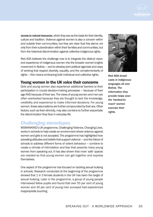

access to natural resources, which they see as the basis for their identity, culture and tradition. Violence against women is also a concern within and outside their communities, but they are clear that this stems not only from their subordination within their families and communities, but from the historical discrimination against collective indigenous rights.

Red ADA believes the challenge now is to integrate the distinct vision and experience of indigenous women into the broader women's-rights movement in Bolivia — and to develop joint political agendas and ways of working that respect diversity, equality, and the complementarity of rights — this means embracing both individual and collective rights.

## **Young women in the UK voice their concerns**

Girls and young women also experience additional barriers to their participation in crucial decision-making processes — because of their ageAND because of their sex. The views of young women and men are often overlooked because they are thought to lack the knowledge, credibility and experience to make informed decisions. For young women, these assumptions are further compounded by their sex. Other factors, such as their ethnicity, may also combine to further exacerbate the discrimination they face in everyday life.

## **Challenging stereotypes**

WOMANKIND's UK programme, *Challenging Violence, Changing Lives*, works in schools to help create an environment where violence against women and girls is not accepted. The programme has highlighted how prevailing attitudes and beliefs that support violence — and the failure of schools to address different forms of violent behaviour — combine to create a climate of intimidation and fear that prevents many young women from speaking out. It has also shown that more 'safe' spaces are needed so that young women can get together and express themselves.

One aspect of the programme has focused on tackling sexual bullying in schools. Research conducted at the beginning of the programme showed that 1 in 3 female students in the UK has been the target of sexual bullying. Later in the programme, a group of young people interviewed fellow pupils and found that over 55 per cent of young women and 30 per cent of young men surveyed had experienced inappropriate touching.



*Red ADA broadcasts in indigenous languages all over Bolivia. The information they provide helps even the 'hardest-toreach' women exercise their rights.*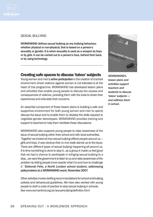

#### *SEXUAL BULLYING*

WOMANKIND defines sexual bullying as any bullying behaviour, whether physical or non-physical, that is based on a person's sexuality or gender. It is when sexuality is used as a weapon by boys or by girls. It can be carried out to a person's face, behind their back, or by using technology.

#### **Creating safe spaces to discuss 'taboo' subjects**

Young women and men's active participation in the creation of a school environment where violence against women is not tolerated is at the heart of this programme. WOMANKIND has developed lesson plans and activities that enable young people to discuss the causes and consequences of violence, providing them with the tools to share their experiences and articulate their concerns.

An essential component of these lesson plans is building a safe and supportive environment for both young women and men to openly discuss the issue and to enable them to develop the skills required to negotiate gender stereotypes. WOMANKIND provides training and support to teachers to help them facilitate these discussions.

WOMANKIND also supports young people to raise awareness of the issue of sexual bullying within their school and with local authorities. *'Together we looked at how sexual bullying affects people around us girls and boys. It was obvious that no one really stands up to the issue. There are different types of sexual bullying happening all around us. It is time something is done to stop it…as a group it made us feel good that we had a chance to participate in bringing sexual bullying to a stop…we want the government to listen to us and raise awareness of the problem by letting people know exactly what it is and how to challenge it.'* Deborah Felix, a North London school student, addressing policymakers at a WOMANKIND event, November 2007.

Other activities involve drafting recommendations for school anti-bullying policies and behavioural guidelines. We have also worked with young people to draft a code of practice to stop sexual bullying in schools. See www.womankind.org.uk/sexual-bullying-definition.html



*WOMANKIND's lesson plans and activities support teachers and students to discuss 'taboo' subjects and address them in school.*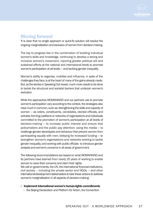

## **Moving forward**

'It is clear that no single approach or quick-fix solution will resolve the ongoing marginalisation and exclusion of women from decision-making.

The key to progress lies in the combination of building individual women's skills and knowledge, continuing to develop a strong and inclusive women's movement, injecting greater political will and sustained efforts at the national and international levels to promote women's participation at all levels — and tackling gender inequality.

Women's ability to organise, mobilise and influence, in spite of the challenges they face, is at the heart of many of the gains already made. But, as the stories in *Speaking Out*reveal, much more needs to be done to tackle the structural and societal barriers that underpin women's exclusion.

While the approaches WOMANKIND and our partners use to promote women's participation vary according to the context, the strategies also have much in common, such as: strengthening the skills and capacity of women — as voters, constituents, candidates, elected officials, and activists; forming coalitions or networks of organisations and individuals committed to the promotion of women's participation at all levels of decision-making — to increase public interest and ensure that policymakers and the public pay attention; using the media — to challenge gender stereotypes and behaviour that prevent women from participating equally with men; lobbying for increased funding — to strengthen women's organisations and networks working to tackle gender inequality; and working with public officials - to introduce gender analysis and women's concerns in all areas of government.

The following recommendations are based on what WOMANKIND and its partners have learned from nearly 20 years of working to enable women to voice their concerns and claim their rights. We call on governments, the UN, the international financial institutions, civil society *—* including the private sector and NGOs *—* and other international-development stakeholders to take these actions to address women's marginalisation in all aspects of decision-making:

#### ◗ **Implement international women's human-rights commitments**

— the Beijing Declaration and Platform for Action, the Convention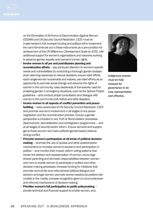

on the Elimination of All Forms of Discrimination Against Women (CEDAW) and UN Security Council Resolution 1325 must be implemented in full; increase funding and political will to implement the commitments set out in these instruments as a pre-condition for achievement of the UN Millennium Development Goals by 2015, with additional support for women's organisations and networks working to advance gender equality and women's human rights.

- ◗ **Involve women in all pre and post-disaster planning and reconstruction efforts** — pay particular attention to women's specific needs and vulnerabilities by conducting a thorough gender analysis when planning responses to natural disasters; ensure relief efforts reach single-woman households and widows, use relief efforts as an opportunity to promote social change and advance the rights of women in the community; raise awareness of frameworks used for analysing gender in emergency situations, such as the Sphere Project guidelines — and conduct proper consultation and dialogue with women in the community both before and after disasters.
- **Involve women in all aspects of conflict prevention and peacebuilding**—raise awareness of UN Security Council Resolution 1325 and promote women's involvement in all stages of any peace negotiation and the reconstruction process. Ensure a gender perspective is included in any Truth & Reconciliation processes, disarmament, demobilisation and reintegration programmes — and at all stages of security-sector reform. Ensure services and support get to those women who have suffered gender-based violence during conflict.
- **Promote women's participation at all levels of political decisionmaking**—promote the use of quotas and other positive-action mechanisms to increase women's access to and participation in politics — and monitor their impact; reform voting systems that hinder the election and representation of women; encourage shared parenting and domestic responsibilities between women and men to enable women to participate in politics and other decision-making processes; increase funding for initiatives that promote community and national-level political dialogue and activism amongst women; promote women leaders as positive rolemodels in the media; increase recognition given to community-level and informal mechanisms of decision-making.
- ◗ **Prioritise women's full participation in public policymaking** provide technical and financial support to enable women, and,



*Indigenous women must be fully involved for governance to be truly representative and effective.*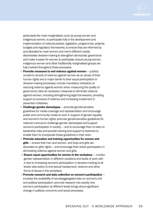

particularly the most marginalised, such as young women and indigenous women, to participate fully in the development and implementation of national policies, legislation, programmes, projects, budgets and regulatory frameworks, to ensure they are informed by and allocated to meet women and men's different needs: decentralise decision-making to strengthen democratic governance and make it easier for women to participate; ensure young women, indigenous women and other traditionally marginalised groups are fully involved throughout these processes.

- **Promote measures to end violence against women** publicly condemn all acts of violence against women as an abuse of their human rights and a major barrier to their equal participation in decision-making processes; include mandatory indicators on reducing violence against women when measuring the quality of governance; take all necessary measures to eliminate violence against women, including strengthening legal frameworks, providing support to survivors of violence and increasing investment in prevention initiatives.
- **Challenge gender stereotypes** promote gender-sensitive guidelines for media coverage and representation and encourage public and community media to work in support of gender equality and women's human rights; promote gender-sensitive guidelines for national curricula to challenge gender stereotypes and support women's participation in society — and to encourage them to take on leadership roles and provide training and support to teachers to enable them to incorporate these guidelines in their work.
- ◗ **Promote education and training opportunities for women and girls**—ensure that men and women, and boys and girls are educated on girls' rights — and encourage their active participation in eliminating violence against women and girls.
- **Ensure equal opportunities for women in the workplace** monitor gender representation in different vocations and levels of work with a view to increasing women's participation in decision-making at all levels; take action to end sexual harassment, violence and other forms of abuse in the workplace.
- ◗**Promote research and data collection on women's participation** increase the availability of sex-disaggregated data on women's civil and political participation; promote research into exactly how women's participation at different levels brings about significant change in political, economic and social processes.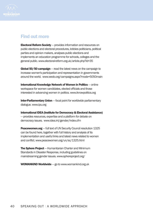

## **Find out more**

**Electoral Reform Society**—provides information and resources on public elections and electoral procedures, lobbies politicians, political parties and opinion makers, analyses public elections and implements an education programme for schools, colleges and the general public. www.electoral-reform.org.uk/article.php?id=35

**Global 50/50 campaign**—read the latest news on the campaign to increase women's participation and representation in governments around the world. www.wedo.org/campaigns.aspx?mode=5050main

**International Knowledge Network of Women in Politics** —online workspace for women candidates, elected officials and those interested in advancing women in politics. www.iknowpolitics.org

**Inter-Parliamentary Union**—focal point for worldwide parliamentary dialogue. www.ipu.org

**International IDEA (Institute for Democracy & Electoral Assistance)** —provides resources, expertise and a platform for debate on democracy issues. www.idea.int/gender/index.cfm

**Peacewomen.org**—full text of UN Security Council resolution 1325 can be found here, together with full history and analysis of its implementation and useful links and latest news related to women and conflict. www.peacewomen.org/un/sc/1325.html

**The Sphere Project** — Humanitarian Charter and Minimum Standards in Disaster Response, including guidelines on mainstreaming gender issues. www.sphereproject.org/

**WOMANKIND Worldwide**—go to www.womankind.org.uk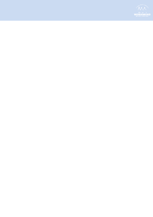